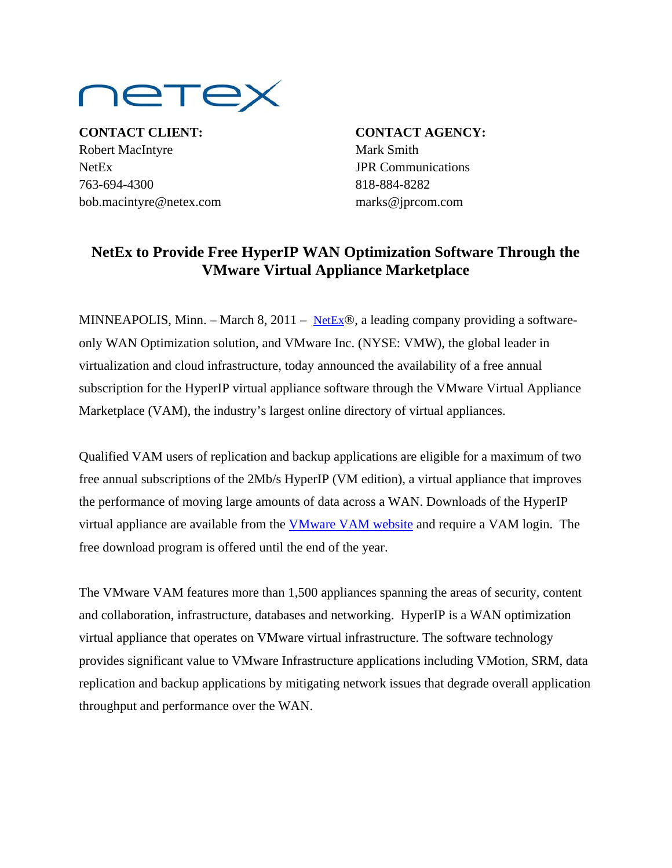

**CONTACT CLIENT: CONTACT AGENCY:** Robert MacIntyre Mark Smith NetEx JPR Communications 763-694-4300 818-884-8282 bob.macintyre@netex.com marks@jprcom.com

## **NetEx to Provide Free HyperIP WAN Optimization Software Through the VMware Virtual Appliance Marketplace**

MINNEAPOLIS, Minn. – March 8, 2011 – [NetEx](http://www.netex.com/)®, a leading company providing a softwareonly WAN Optimization solution, and VMware Inc. (NYSE: VMW), the global leader in virtualization and cloud infrastructure, today announced the availability of a free annual subscription for the HyperIP virtual appliance software through the VMware Virtual Appliance Marketplace (VAM), the industry's largest online directory of virtual appliances.

Qualified VAM users of replication and backup applications are eligible for a maximum of two free annual subscriptions of the 2Mb/s HyperIP (VM edition), a virtual appliance that improves the performance of moving large amounts of data across a WAN. Downloads of the HyperIP virtual appliance are available from the [VMware VAM website](http://www.vmware.com/appliances/directory/node/155643) and require a VAM login. The free download program is offered until the end of the year.

The VMware VAM features more than 1,500 appliances spanning the areas of security, content and collaboration, infrastructure, databases and networking. HyperIP is a WAN optimization virtual appliance that operates on VMware virtual infrastructure. The software technology provides significant value to VMware Infrastructure applications including VMotion, SRM, data replication and backup applications by mitigating network issues that degrade overall application throughput and performance over the WAN.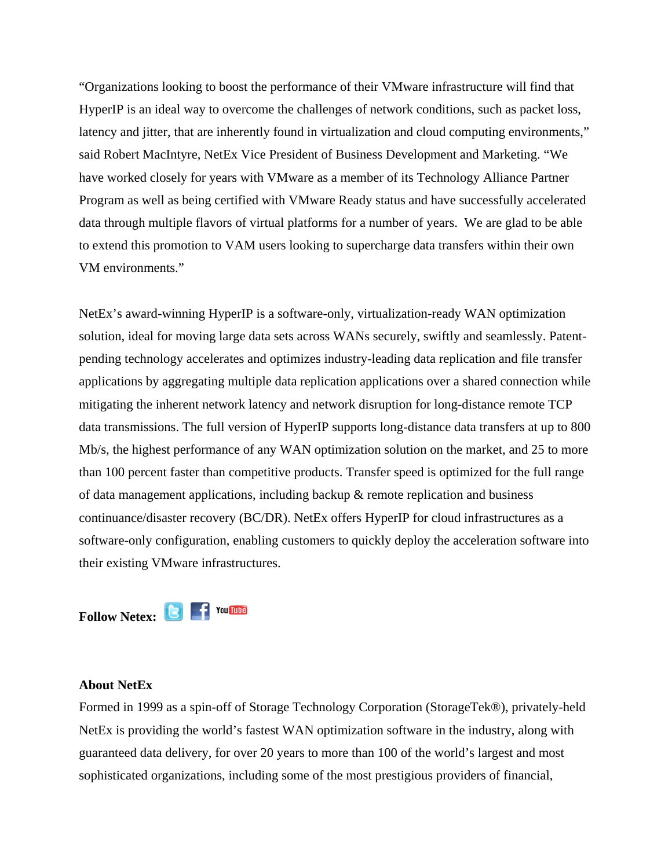"Organizations looking to boost the performance of their VMware infrastructure will find that HyperIP is an ideal way to overcome the challenges of network conditions, such as packet loss, latency and jitter, that are inherently found in virtualization and cloud computing environments," said Robert MacIntyre, NetEx Vice President of Business Development and Marketing. "We have worked closely for years with VMware as a member of its Technology Alliance Partner Program as well as being certified with VMware Ready status and have successfully accelerated data through multiple flavors of virtual platforms for a number of years. We are glad to be able to extend this promotion to VAM users looking to supercharge data transfers within their own VM environments."

NetEx's award-winning HyperIP is a software-only, virtualization-ready WAN optimization solution, ideal for moving large data sets across WANs securely, swiftly and seamlessly. Patentpending technology accelerates and optimizes industry-leading data replication and file transfer applications by aggregating multiple data replication applications over a shared connection while mitigating the inherent network latency and network disruption for long-distance remote TCP data transmissions. The full version of HyperIP supports long-distance data transfers at up to 800 Mb/s, the highest performance of any WAN optimization solution on the market, and 25 to more than 100 percent faster than competitive products. Transfer speed is optimized for the full range of data management applications, including backup & remote replication and business continuance/disaster recovery (BC/DR). NetEx offers HyperIP for cloud infrastructures as a software-only configuration, enabling customers to quickly deploy the acceleration software into their existing VMware infrastructures.

Follow Netex: **B** F You Tube

## **About NetEx**

Formed in 1999 as a spin-off of Storage Technology Corporation (StorageTek®), privately-held NetEx is providing the world's fastest WAN optimization software in the industry, along with guaranteed data delivery, for over 20 years to more than 100 of the world's largest and most sophisticated organizations, including some of the most prestigious providers of financial,